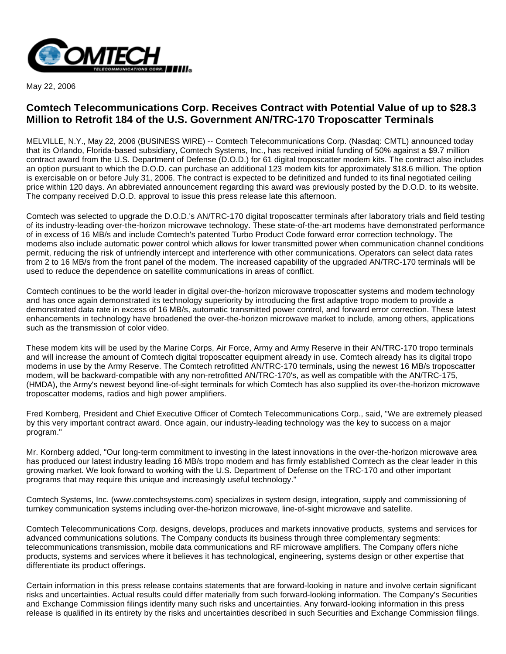

May 22, 2006

## **Comtech Telecommunications Corp. Receives Contract with Potential Value of up to \$28.3 Million to Retrofit 184 of the U.S. Government AN/TRC-170 Troposcatter Terminals**

MELVILLE, N.Y., May 22, 2006 (BUSINESS WIRE) -- Comtech Telecommunications Corp. (Nasdaq: CMTL) announced today that its Orlando, Florida-based subsidiary, Comtech Systems, Inc., has received initial funding of 50% against a \$9.7 million contract award from the U.S. Department of Defense (D.O.D.) for 61 digital troposcatter modem kits. The contract also includes an option pursuant to which the D.O.D. can purchase an additional 123 modem kits for approximately \$18.6 million. The option is exercisable on or before July 31, 2006. The contract is expected to be definitized and funded to its final negotiated ceiling price within 120 days. An abbreviated announcement regarding this award was previously posted by the D.O.D. to its website. The company received D.O.D. approval to issue this press release late this afternoon.

Comtech was selected to upgrade the D.O.D.'s AN/TRC-170 digital troposcatter terminals after laboratory trials and field testing of its industry-leading over-the-horizon microwave technology. These state-of-the-art modems have demonstrated performance of in excess of 16 MB/s and include Comtech's patented Turbo Product Code forward error correction technology. The modems also include automatic power control which allows for lower transmitted power when communication channel conditions permit, reducing the risk of unfriendly intercept and interference with other communications. Operators can select data rates from 2 to 16 MB/s from the front panel of the modem. The increased capability of the upgraded AN/TRC-170 terminals will be used to reduce the dependence on satellite communications in areas of conflict.

Comtech continues to be the world leader in digital over-the-horizon microwave troposcatter systems and modem technology and has once again demonstrated its technology superiority by introducing the first adaptive tropo modem to provide a demonstrated data rate in excess of 16 MB/s, automatic transmitted power control, and forward error correction. These latest enhancements in technology have broadened the over-the-horizon microwave market to include, among others, applications such as the transmission of color video.

These modem kits will be used by the Marine Corps, Air Force, Army and Army Reserve in their AN/TRC-170 tropo terminals and will increase the amount of Comtech digital troposcatter equipment already in use. Comtech already has its digital tropo modems in use by the Army Reserve. The Comtech retrofitted AN/TRC-170 terminals, using the newest 16 MB/s troposcatter modem, will be backward-compatible with any non-retrofitted AN/TRC-170's, as well as compatible with the AN/TRC-175, (HMDA), the Army's newest beyond line-of-sight terminals for which Comtech has also supplied its over-the-horizon microwave troposcatter modems, radios and high power amplifiers.

Fred Kornberg, President and Chief Executive Officer of Comtech Telecommunications Corp., said, "We are extremely pleased by this very important contract award. Once again, our industry-leading technology was the key to success on a major program."

Mr. Kornberg added, "Our long-term commitment to investing in the latest innovations in the over-the-horizon microwave area has produced our latest industry leading 16 MB/s tropo modem and has firmly established Comtech as the clear leader in this growing market. We look forward to working with the U.S. Department of Defense on the TRC-170 and other important programs that may require this unique and increasingly useful technology."

Comtech Systems, Inc. (www.comtechsystems.com) specializes in system design, integration, supply and commissioning of turnkey communication systems including over-the-horizon microwave, line-of-sight microwave and satellite.

Comtech Telecommunications Corp. designs, develops, produces and markets innovative products, systems and services for advanced communications solutions. The Company conducts its business through three complementary segments: telecommunications transmission, mobile data communications and RF microwave amplifiers. The Company offers niche products, systems and services where it believes it has technological, engineering, systems design or other expertise that differentiate its product offerings.

Certain information in this press release contains statements that are forward-looking in nature and involve certain significant risks and uncertainties. Actual results could differ materially from such forward-looking information. The Company's Securities and Exchange Commission filings identify many such risks and uncertainties. Any forward-looking information in this press release is qualified in its entirety by the risks and uncertainties described in such Securities and Exchange Commission filings.